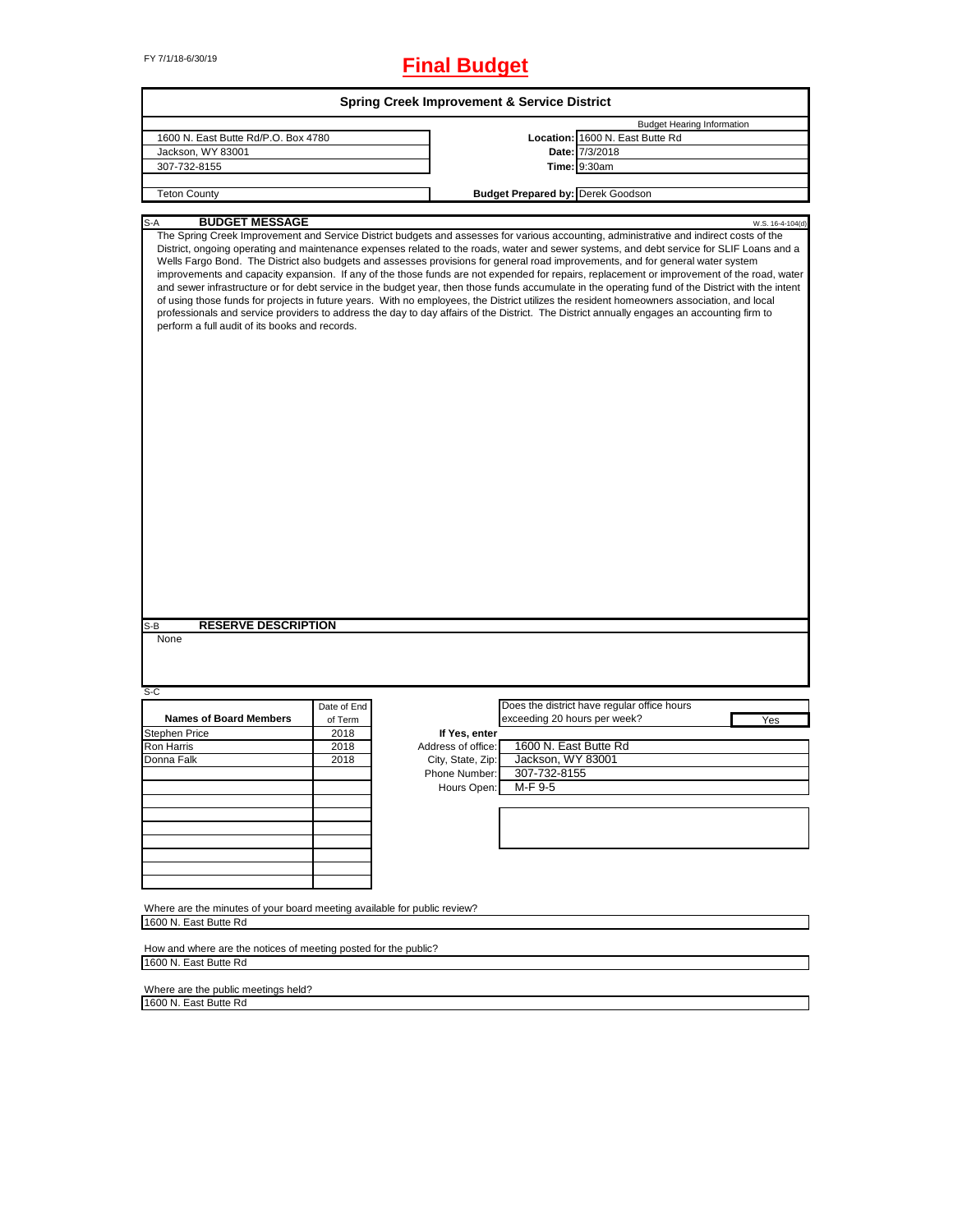# FY 7/1/18-6/30/19 **Final Budget**

| <b>Spring Creek Improvement &amp; Service District</b>                                      |             |                    |                                          |                                                                                                                                                                                                                                                                                                                                                                                                                                                                                                                                                                                                                                                                                                                                                                                                                                                                                                                                                                                                                         |  |  |
|---------------------------------------------------------------------------------------------|-------------|--------------------|------------------------------------------|-------------------------------------------------------------------------------------------------------------------------------------------------------------------------------------------------------------------------------------------------------------------------------------------------------------------------------------------------------------------------------------------------------------------------------------------------------------------------------------------------------------------------------------------------------------------------------------------------------------------------------------------------------------------------------------------------------------------------------------------------------------------------------------------------------------------------------------------------------------------------------------------------------------------------------------------------------------------------------------------------------------------------|--|--|
|                                                                                             |             |                    |                                          | <b>Budget Hearing Information</b>                                                                                                                                                                                                                                                                                                                                                                                                                                                                                                                                                                                                                                                                                                                                                                                                                                                                                                                                                                                       |  |  |
| 1600 N. East Butte Rd/P.O. Box 4780                                                         |             |                    |                                          | Location: 1600 N. East Butte Rd                                                                                                                                                                                                                                                                                                                                                                                                                                                                                                                                                                                                                                                                                                                                                                                                                                                                                                                                                                                         |  |  |
| Jackson, WY 83001                                                                           |             |                    | Date:                                    | 7/3/2018                                                                                                                                                                                                                                                                                                                                                                                                                                                                                                                                                                                                                                                                                                                                                                                                                                                                                                                                                                                                                |  |  |
| 307-732-8155                                                                                |             |                    |                                          | Time: 9:30am                                                                                                                                                                                                                                                                                                                                                                                                                                                                                                                                                                                                                                                                                                                                                                                                                                                                                                                                                                                                            |  |  |
|                                                                                             |             |                    | <b>Budget Prepared by: Derek Goodson</b> |                                                                                                                                                                                                                                                                                                                                                                                                                                                                                                                                                                                                                                                                                                                                                                                                                                                                                                                                                                                                                         |  |  |
| <b>Teton County</b>                                                                         |             |                    |                                          |                                                                                                                                                                                                                                                                                                                                                                                                                                                                                                                                                                                                                                                                                                                                                                                                                                                                                                                                                                                                                         |  |  |
| <b>BUDGET MESSAGE</b><br>S-A                                                                |             |                    |                                          | W.S. 16-4-104(d)                                                                                                                                                                                                                                                                                                                                                                                                                                                                                                                                                                                                                                                                                                                                                                                                                                                                                                                                                                                                        |  |  |
| perform a full audit of its books and records.<br><b>RESERVE DESCRIPTION</b><br>S-B<br>None |             |                    |                                          | The Spring Creek Improvement and Service District budgets and assesses for various accounting, administrative and indirect costs of the<br>District, ongoing operating and maintenance expenses related to the roads, water and sewer systems, and debt service for SLIF Loans and a<br>Wells Fargo Bond. The District also budgets and assesses provisions for general road improvements, and for general water system<br>improvements and capacity expansion. If any of the those funds are not expended for repairs, replacement or improvement of the road, water<br>and sewer infrastructure or for debt service in the budget year, then those funds accumulate in the operating fund of the District with the intent<br>of using those funds for projects in future years. With no employees, the District utilizes the resident homeowners association, and local<br>professionals and service providers to address the day to day affairs of the District. The District annually engages an accounting firm to |  |  |
|                                                                                             |             |                    |                                          |                                                                                                                                                                                                                                                                                                                                                                                                                                                                                                                                                                                                                                                                                                                                                                                                                                                                                                                                                                                                                         |  |  |
| S-C                                                                                         |             |                    |                                          |                                                                                                                                                                                                                                                                                                                                                                                                                                                                                                                                                                                                                                                                                                                                                                                                                                                                                                                                                                                                                         |  |  |
|                                                                                             | Date of End |                    |                                          | Does the district have regular office hours                                                                                                                                                                                                                                                                                                                                                                                                                                                                                                                                                                                                                                                                                                                                                                                                                                                                                                                                                                             |  |  |
| <b>Names of Board Members</b>                                                               | of Term     |                    | exceeding 20 hours per week?             | Yes                                                                                                                                                                                                                                                                                                                                                                                                                                                                                                                                                                                                                                                                                                                                                                                                                                                                                                                                                                                                                     |  |  |
| Stephen Price                                                                               | 2018        | If Yes, enter      |                                          |                                                                                                                                                                                                                                                                                                                                                                                                                                                                                                                                                                                                                                                                                                                                                                                                                                                                                                                                                                                                                         |  |  |
| Ron Harris                                                                                  | 2018        | Address of office: | 1600 N. East Butte Rd                    |                                                                                                                                                                                                                                                                                                                                                                                                                                                                                                                                                                                                                                                                                                                                                                                                                                                                                                                                                                                                                         |  |  |
|                                                                                             |             |                    |                                          |                                                                                                                                                                                                                                                                                                                                                                                                                                                                                                                                                                                                                                                                                                                                                                                                                                                                                                                                                                                                                         |  |  |
| Donna Falk                                                                                  | 2018        | City, State, Zip:  | Jackson, WY 83001                        |                                                                                                                                                                                                                                                                                                                                                                                                                                                                                                                                                                                                                                                                                                                                                                                                                                                                                                                                                                                                                         |  |  |
|                                                                                             |             | Phone Number:      | 307-732-8155                             |                                                                                                                                                                                                                                                                                                                                                                                                                                                                                                                                                                                                                                                                                                                                                                                                                                                                                                                                                                                                                         |  |  |
|                                                                                             |             | Hours Open:        | M-F 9-5                                  |                                                                                                                                                                                                                                                                                                                                                                                                                                                                                                                                                                                                                                                                                                                                                                                                                                                                                                                                                                                                                         |  |  |
|                                                                                             |             |                    |                                          |                                                                                                                                                                                                                                                                                                                                                                                                                                                                                                                                                                                                                                                                                                                                                                                                                                                                                                                                                                                                                         |  |  |
|                                                                                             |             |                    |                                          |                                                                                                                                                                                                                                                                                                                                                                                                                                                                                                                                                                                                                                                                                                                                                                                                                                                                                                                                                                                                                         |  |  |
|                                                                                             |             |                    |                                          |                                                                                                                                                                                                                                                                                                                                                                                                                                                                                                                                                                                                                                                                                                                                                                                                                                                                                                                                                                                                                         |  |  |
|                                                                                             |             |                    |                                          |                                                                                                                                                                                                                                                                                                                                                                                                                                                                                                                                                                                                                                                                                                                                                                                                                                                                                                                                                                                                                         |  |  |
|                                                                                             |             |                    |                                          |                                                                                                                                                                                                                                                                                                                                                                                                                                                                                                                                                                                                                                                                                                                                                                                                                                                                                                                                                                                                                         |  |  |
|                                                                                             |             |                    |                                          |                                                                                                                                                                                                                                                                                                                                                                                                                                                                                                                                                                                                                                                                                                                                                                                                                                                                                                                                                                                                                         |  |  |
|                                                                                             |             |                    |                                          |                                                                                                                                                                                                                                                                                                                                                                                                                                                                                                                                                                                                                                                                                                                                                                                                                                                                                                                                                                                                                         |  |  |
|                                                                                             |             |                    |                                          |                                                                                                                                                                                                                                                                                                                                                                                                                                                                                                                                                                                                                                                                                                                                                                                                                                                                                                                                                                                                                         |  |  |
|                                                                                             |             |                    |                                          |                                                                                                                                                                                                                                                                                                                                                                                                                                                                                                                                                                                                                                                                                                                                                                                                                                                                                                                                                                                                                         |  |  |
| Where are the minutes of your board meeting available for public review?                    |             |                    |                                          |                                                                                                                                                                                                                                                                                                                                                                                                                                                                                                                                                                                                                                                                                                                                                                                                                                                                                                                                                                                                                         |  |  |
| 1600 N. East Butte Rd                                                                       |             |                    |                                          |                                                                                                                                                                                                                                                                                                                                                                                                                                                                                                                                                                                                                                                                                                                                                                                                                                                                                                                                                                                                                         |  |  |
|                                                                                             |             |                    |                                          |                                                                                                                                                                                                                                                                                                                                                                                                                                                                                                                                                                                                                                                                                                                                                                                                                                                                                                                                                                                                                         |  |  |
| How and where are the notices of meeting posted for the public?                             |             |                    |                                          |                                                                                                                                                                                                                                                                                                                                                                                                                                                                                                                                                                                                                                                                                                                                                                                                                                                                                                                                                                                                                         |  |  |
| 1600 N. East Butte Rd                                                                       |             |                    |                                          |                                                                                                                                                                                                                                                                                                                                                                                                                                                                                                                                                                                                                                                                                                                                                                                                                                                                                                                                                                                                                         |  |  |
|                                                                                             |             |                    |                                          |                                                                                                                                                                                                                                                                                                                                                                                                                                                                                                                                                                                                                                                                                                                                                                                                                                                                                                                                                                                                                         |  |  |

Where are the public meetings held? 1600 N. East Butte Rd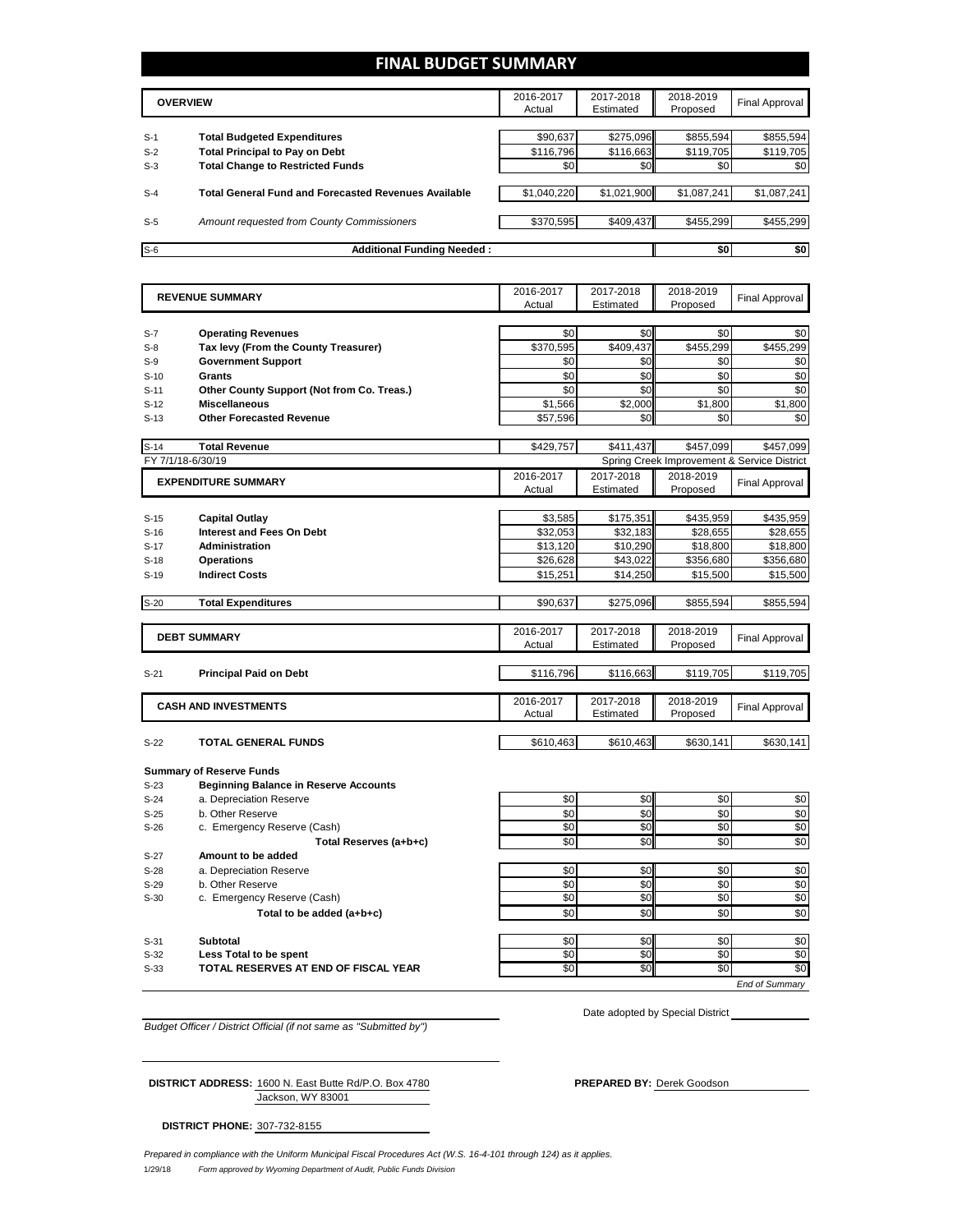## **FINAL BUDGET SUMMARY**

| <b>OVERVIEW</b> |                                                             | 2016-2017<br>Actual | 2017-2018<br>Estimated | 2018-2019<br>Proposed | <b>Final Approval</b> |
|-----------------|-------------------------------------------------------------|---------------------|------------------------|-----------------------|-----------------------|
|                 |                                                             |                     |                        |                       |                       |
| $S-1$           | <b>Total Budgeted Expenditures</b>                          | \$90,637            | \$275,096              | \$855,594             | \$855,594             |
| $S-2$           | <b>Total Principal to Pay on Debt</b>                       | \$116.796           | \$116,663              | \$119,705             | \$119,705             |
| $S-3$           | <b>Total Change to Restricted Funds</b>                     | \$0                 | \$0                    | \$0                   | \$0                   |
|                 |                                                             |                     |                        |                       |                       |
| $S-4$           | <b>Total General Fund and Forecasted Revenues Available</b> | \$1,040,220         | \$1,021,900            | \$1,087,241           | \$1,087,241           |
|                 |                                                             |                     |                        |                       |                       |
| $S-5$           | Amount requested from County Commissioners                  | \$370,595           | \$409,437              | \$455.299             | \$455,299             |
|                 |                                                             |                     |                        |                       |                       |
| $S-6$           | <b>Additional Funding Needed:</b>                           |                     |                        | \$0                   | \$0                   |

| <b>REVENUE SUMMARY</b> |                                              | 2016-2017  | 2017-2018  | 2018-2019  | <b>Final Approval</b>                       |
|------------------------|----------------------------------------------|------------|------------|------------|---------------------------------------------|
|                        |                                              | Actual     | Estimated  | Proposed   |                                             |
|                        |                                              |            |            |            |                                             |
| $S-7$                  | <b>Operating Revenues</b>                    | \$0        | \$0        | \$0        | \$0                                         |
| $S-8$                  | Tax levy (From the County Treasurer)         | \$370,595  | \$409,437  | \$455,299  | \$455,299                                   |
| $S-9$                  | <b>Government Support</b>                    | \$0        | \$0        | \$0        | \$0                                         |
| $S-10$                 | Grants                                       | \$0        | \$0        | \$0        | \$0                                         |
| $S-11$                 | Other County Support (Not from Co. Treas.)   | \$0        | \$0        | \$0        | \$0                                         |
| $S-12$                 | <b>Miscellaneous</b>                         | \$1,566    | \$2,000    | \$1,800    | \$1,800                                     |
| $S-13$                 | <b>Other Forecasted Revenue</b>              | \$57,596   | \$0        | \$0        | \$0                                         |
| $S-14$                 | <b>Total Revenue</b>                         | \$429,757  | \$411,437  | \$457,099  | \$457,099                                   |
| FY 7/1/18-6/30/19      |                                              |            |            |            | Spring Creek Improvement & Service District |
|                        | <b>EXPENDITURE SUMMARY</b>                   | 2016-2017  | 2017-2018  | 2018-2019  | <b>Final Approval</b>                       |
|                        |                                              | Actual     | Estimated  | Proposed   |                                             |
|                        |                                              |            |            |            |                                             |
| $S-15$                 | <b>Capital Outlay</b>                        | \$3,585    | \$175,351  | \$435,959  | \$435,959                                   |
| $S-16$                 | <b>Interest and Fees On Debt</b>             | \$32,053   | \$32,183   | \$28,655   | \$28,655                                    |
| $S-17$                 | <b>Administration</b>                        | \$13,120   | \$10,290   | \$18,800   | \$18,800                                    |
| $S-18$                 | <b>Operations</b>                            | \$26,628   | \$43,022   | \$356,680  | \$356,680                                   |
| $S-19$                 | <b>Indirect Costs</b>                        | \$15,251   | \$14,250   | \$15,500   | \$15,500                                    |
| $S-20$                 | <b>Total Expenditures</b>                    | \$90,637   | \$275,096  | \$855,594  | \$855,594                                   |
|                        |                                              |            |            |            |                                             |
|                        | <b>DEBT SUMMARY</b>                          | 2016-2017  | 2017-2018  | 2018-2019  |                                             |
|                        |                                              | Actual     | Estimated  | Proposed   | <b>Final Approval</b>                       |
|                        |                                              |            |            |            |                                             |
| $S-21$                 | <b>Principal Paid on Debt</b>                | \$116,796  | \$116,663  | \$119,705  | \$119,705                                   |
|                        |                                              | 2016-2017  | 2017-2018  | 2018-2019  |                                             |
|                        | <b>CASH AND INVESTMENTS</b>                  | Actual     | Estimated  | Proposed   | <b>Final Approval</b>                       |
|                        |                                              |            |            |            |                                             |
| $S-22$                 | <b>TOTAL GENERAL FUNDS</b>                   | \$610,463  | \$610,463  | \$630,141  | \$630,141                                   |
|                        |                                              |            |            |            |                                             |
|                        | <b>Summary of Reserve Funds</b>              |            |            |            |                                             |
| $S-23$                 | <b>Beginning Balance in Reserve Accounts</b> |            |            |            |                                             |
| $S-24$<br>$S-25$       | a. Depreciation Reserve<br>b. Other Reserve  | \$0<br>\$0 | \$0<br>\$0 | \$0<br>\$0 | \$0<br>\$0                                  |
| $S-26$                 | c. Emergency Reserve (Cash)                  | \$0        | \$0        | \$0        | \$0                                         |
|                        | Total Reserves (a+b+c)                       | \$0        | \$0        | \$0        | \$0                                         |
| $S-27$                 | Amount to be added                           |            |            |            |                                             |
| $S-28$                 | a. Depreciation Reserve                      | \$0        | \$0        | \$0        | \$0                                         |
| $S-29$                 | b. Other Reserve                             | \$0        | \$0        | \$0        | \$0                                         |
| $S-30$                 | c. Emergency Reserve (Cash)                  | \$0        | \$0        | \$0        | \$0                                         |
|                        | Total to be added (a+b+c)                    | \$0        | \$0        | \$0        | \$0                                         |
|                        |                                              |            |            |            |                                             |
| $S-31$                 | Subtotal                                     | \$0        | \$0        | \$0        | \$0                                         |
| $S-32$                 | Less Total to be spent                       | \$0        | \$0        | \$0        | \$0                                         |
| $S-33$                 | TOTAL RESERVES AT END OF FISCAL YEAR         | \$0        | \$0        | \$0        | \$0                                         |

*Budget Officer / District Official (if not same as "Submitted by")*

Jackson, WY 83001 **DISTRICT ADDRESS:** 1600 N. East Butte Rd/P.O. Box 4780 **PREPARED BY:** Derek Goodson

Date adopted by Special District

*End of Summary*

**DISTRICT PHONE:** 307-732-8155

1/29/18 *Form approved by Wyoming Department of Audit, Public Funds Division Prepared in compliance with the Uniform Municipal Fiscal Procedures Act (W.S. 16-4-101 through 124) as it applies.*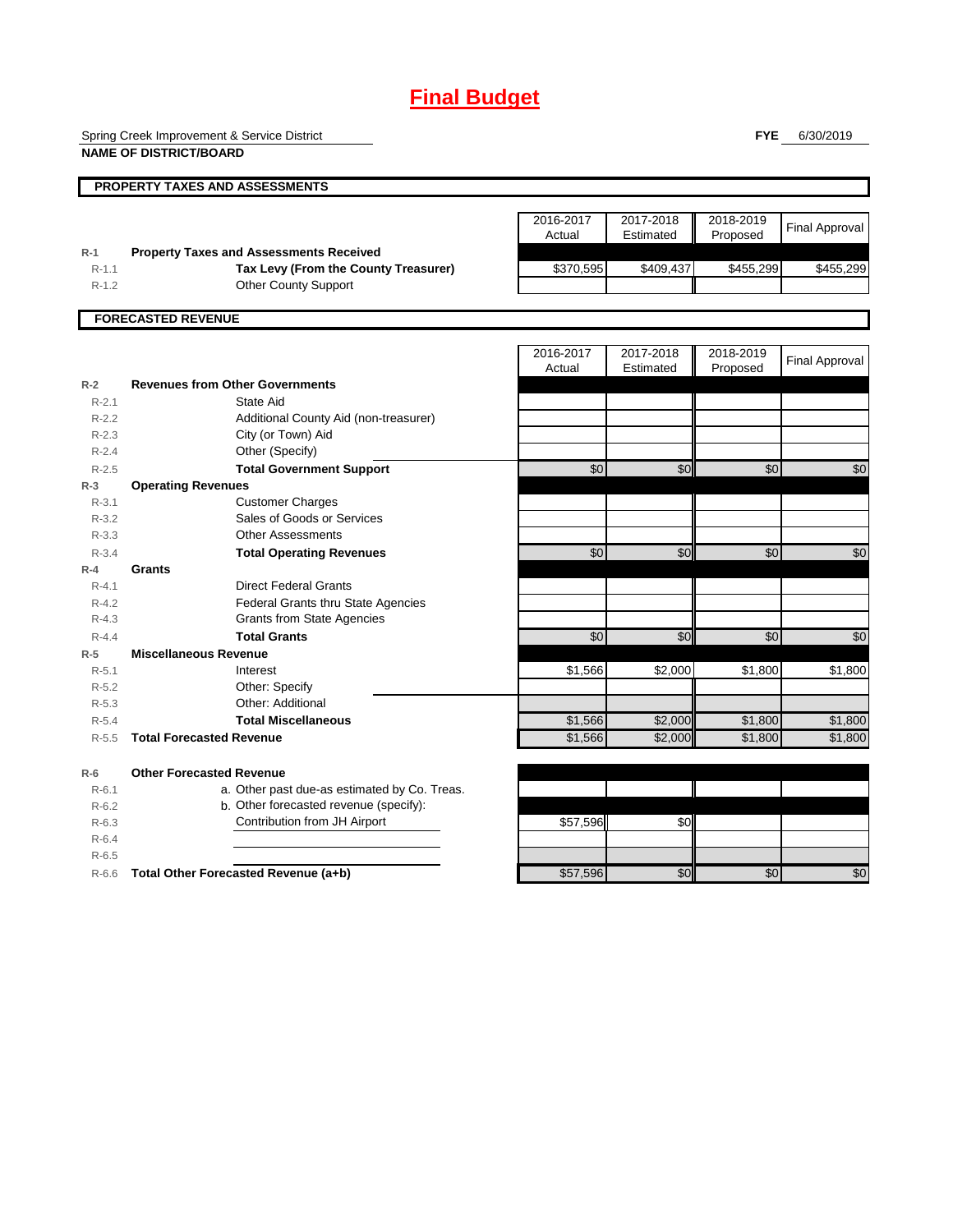# **Final Budget**

Spring Creek Improvement & Service District

**NAME OF DISTRICT/BOARD**

**FYE** 6/30/2019

|           | PROPERTY TAXES AND ASSESSMENTS                 |                 |           |            |                       |
|-----------|------------------------------------------------|-----------------|-----------|------------|-----------------------|
|           |                                                |                 |           |            |                       |
|           |                                                | 2016-2017       | 2017-2018 | 2018-2019  | <b>Final Approval</b> |
|           |                                                | Actual          | Estimated | Proposed   |                       |
| $R-1$     | <b>Property Taxes and Assessments Received</b> |                 |           |            |                       |
| $R-1.1$   | Tax Levy (From the County Treasurer)           | \$370,595       | \$409,437 | \$455,299  | \$455,299             |
| $R-1.2$   | <b>Other County Support</b>                    |                 |           |            |                       |
|           | <b>FORECASTED REVENUE</b>                      |                 |           |            |                       |
|           |                                                |                 |           |            |                       |
|           |                                                | 2016-2017       | 2017-2018 | 2018-2019  | <b>Final Approval</b> |
|           |                                                | Actual          | Estimated | Proposed   |                       |
| $R-2$     | <b>Revenues from Other Governments</b>         |                 |           |            |                       |
| $R - 2.1$ | State Aid                                      |                 |           |            |                       |
| $R-2.2$   | Additional County Aid (non-treasurer)          |                 |           |            |                       |
| $R-2.3$   | City (or Town) Aid                             |                 |           |            |                       |
| $R - 2.4$ | Other (Specify)                                |                 |           |            |                       |
| $R-2.5$   | <b>Total Government Support</b>                | \$0             | \$0       | \$0        | \$0                   |
| $R-3$     | <b>Operating Revenues</b>                      |                 |           |            |                       |
| $R - 3.1$ | <b>Customer Charges</b>                        |                 |           |            |                       |
| $R-3.2$   | Sales of Goods or Services                     |                 |           |            |                       |
| $R - 3.3$ | <b>Other Assessments</b>                       |                 |           |            |                       |
| $R - 3.4$ | <b>Total Operating Revenues</b>                | \$0             | \$0       | \$0        | \$0                   |
| $R-4$     | Grants                                         |                 |           |            |                       |
| $R - 4.1$ | <b>Direct Federal Grants</b>                   |                 |           |            |                       |
| $R - 4.2$ | <b>Federal Grants thru State Agencies</b>      |                 |           |            |                       |
| $R - 4.3$ | <b>Grants from State Agencies</b>              |                 |           |            |                       |
| $R - 4.4$ | <b>Total Grants</b>                            | $\overline{60}$ | \$0       | $\sqrt{6}$ | \$0                   |
| $R-5$     | <b>Miscellaneous Revenue</b>                   |                 |           |            |                       |
| $R - 5.1$ | Interest                                       | \$1,566         | \$2.000   | \$1.800    | \$1.800               |
| $R-5.2$   | Other: Specify                                 |                 |           |            |                       |
| $R - 5.3$ | Other: Additional                              |                 |           |            |                       |
| $R - 5.4$ | <b>Total Miscellaneous</b>                     | \$1,566         | \$2,000   | \$1,800    | \$1,800               |
| $R - 5.5$ | <b>Total Forecasted Revenue</b>                | \$1,566         | \$2,000   | \$1,800    | \$1,800               |
| $R-6$     | <b>Other Forecasted Revenue</b>                |                 |           |            |                       |
| $R - 6.1$ | a. Other past due-as estimated by Co. Treas.   |                 |           |            |                       |
| $R-6.2$   | b. Other forecasted revenue (specify):         |                 |           |            |                       |
| $R-6.3$   | Contribution from JH Airport                   | \$57,596        | \$0       |            |                       |
| $R-6.4$   |                                                |                 |           |            |                       |
| $R - 6.5$ |                                                |                 |           |            |                       |
| $R-6.6$   | Total Other Forecasted Revenue (a+b)           | \$57,596        | \$0       | \$0        | \$0                   |
|           |                                                |                 |           |            |                       |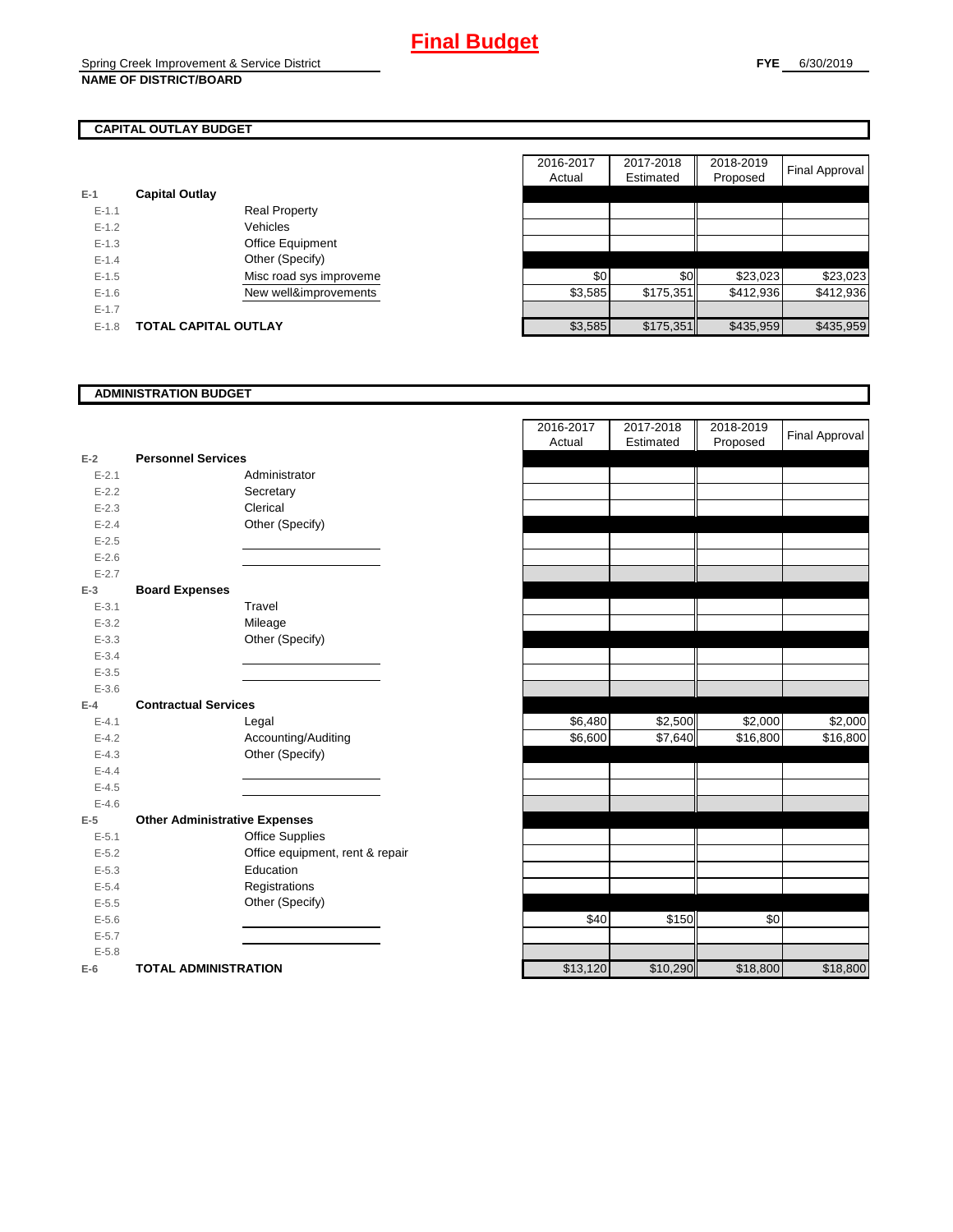# **CAPITAL OUTLAY BUDGET**

| $E-1$   | <b>Capital Outlay</b> |                         |
|---------|-----------------------|-------------------------|
| $F-11$  |                       | <b>Real Property</b>    |
| $F-12$  |                       | Vehicles                |
| $F-1.3$ |                       | <b>Office Equipment</b> |
| $F-14$  |                       | Other (Specify)         |
| $F-1.5$ |                       | Misc road sys improveme |
| $F-16$  |                       | New well&improvements   |
| $F-17$  |                       |                         |
| $F-1.8$ | TOTAL CAPITAL OUTLAY  |                         |

|           |                             |                         | 2016-2017 | 2017-2018 | 2018-2019 |                |
|-----------|-----------------------------|-------------------------|-----------|-----------|-----------|----------------|
|           |                             |                         | Actual    | Estimated | Proposed  | Final Approval |
|           | <b>Capital Outlay</b>       |                         |           |           |           |                |
| $E - 1.1$ |                             | <b>Real Property</b>    |           |           |           |                |
| $E - 1.2$ |                             | Vehicles                |           |           |           |                |
| $E-1.3$   |                             | Office Equipment        |           |           |           |                |
| $E - 1.4$ |                             | Other (Specify)         |           |           |           |                |
| $E-1.5$   |                             | Misc road sys improveme | \$0       | \$0       | \$23.023  | \$23,023       |
| $E - 1.6$ |                             | New well&improvements   | \$3,585   | \$175,351 | \$412,936 | \$412,936      |
| $E - 1.7$ |                             |                         |           |           |           |                |
| $E-1.8$   | <b>TOTAL CAPITAL OUTLAY</b> |                         | \$3,585   | \$175,351 | \$435,959 | \$435,959      |

#### **ADMINISTRATION BUDGET**

|           |                                      |                                 | Actual   | Estimated | Proposed |
|-----------|--------------------------------------|---------------------------------|----------|-----------|----------|
| $E-2$     | <b>Personnel Services</b>            |                                 |          |           |          |
| $E - 2.1$ |                                      | Administrator                   |          |           |          |
| $E - 2.2$ |                                      | Secretary                       |          |           |          |
| $E - 2.3$ |                                      | Clerical                        |          |           |          |
| $E - 2.4$ |                                      | Other (Specify)                 |          |           |          |
| $E-2.5$   |                                      |                                 |          |           |          |
| $E - 2.6$ |                                      |                                 |          |           |          |
| $E - 2.7$ |                                      |                                 |          |           |          |
| $E-3$     | <b>Board Expenses</b>                |                                 |          |           |          |
| $E - 3.1$ |                                      | Travel                          |          |           |          |
| $E - 3.2$ |                                      | Mileage                         |          |           |          |
| $E - 3.3$ |                                      | Other (Specify)                 |          |           |          |
| $E - 3.4$ |                                      |                                 |          |           |          |
| $E - 3.5$ |                                      |                                 |          |           |          |
| $E - 3.6$ |                                      |                                 |          |           |          |
| $E-4$     | <b>Contractual Services</b>          |                                 |          |           |          |
| $E - 4.1$ |                                      | Legal                           | \$6,480  | \$2,500   | \$2,000  |
| $E - 4.2$ |                                      | Accounting/Auditing             | \$6,600  | \$7,640   | \$16,800 |
| $E - 4.3$ |                                      | Other (Specify)                 |          |           |          |
| $E - 4.4$ |                                      |                                 |          |           |          |
| $E-4.5$   |                                      |                                 |          |           |          |
| $E-4.6$   |                                      |                                 |          |           |          |
| $E-5$     | <b>Other Administrative Expenses</b> |                                 |          |           |          |
| $E - 5.1$ |                                      | <b>Office Supplies</b>          |          |           |          |
| $E - 5.2$ |                                      | Office equipment, rent & repair |          |           |          |
| $E-5.3$   |                                      | Education                       |          |           |          |
| $E - 5.4$ |                                      | Registrations                   |          |           |          |
| $E - 5.5$ |                                      | Other (Specify)                 |          |           |          |
| $E - 5.6$ |                                      |                                 | \$40     | \$150     | \$0      |
| $E - 5.7$ |                                      |                                 |          |           |          |
| $E - 5.8$ |                                      |                                 |          |           |          |
| $E-6$     | <b>TOTAL ADMINISTRATION</b>          |                                 | \$13.120 | \$10.290  | \$18,800 |

|           |                                      | 2016-2017 | 2017-2018 | 2018-2019 |                      |
|-----------|--------------------------------------|-----------|-----------|-----------|----------------------|
|           |                                      | Actual    | Estimated | Proposed  | Final Approval       |
| $E-2$     | <b>Personnel Services</b>            |           |           |           |                      |
| $E - 2.1$ | Administrator                        |           |           |           |                      |
| $E - 2.2$ | Secretary                            |           |           |           |                      |
| $E - 2.3$ | Clerical                             |           |           |           |                      |
| $E - 2.4$ | Other (Specify)                      |           |           |           |                      |
| $E - 2.5$ |                                      |           |           |           |                      |
| $E - 2.6$ |                                      |           |           |           |                      |
| $E - 2.7$ |                                      |           |           |           |                      |
| $E-3$     | <b>Board Expenses</b>                |           |           |           |                      |
| $E - 3.1$ | Travel                               |           |           |           |                      |
| $E - 3.2$ | Mileage                              |           |           |           |                      |
| $E - 3.3$ | Other (Specify)                      |           |           |           |                      |
| $E - 3.4$ |                                      |           |           |           |                      |
| $E - 3.5$ |                                      |           |           |           |                      |
| $E - 3.6$ |                                      |           |           |           |                      |
| $E-4$     | <b>Contractual Services</b>          |           |           |           |                      |
| $E - 4.1$ | Legal                                | \$6,480   | \$2,500   | \$2,000   | \$2,000              |
| $E - 4.2$ | Accounting/Auditing                  | \$6,600   | \$7,640   | \$16,800  | $\overline{$}16,800$ |
| $E - 4.3$ | Other (Specify)                      |           |           |           |                      |
| $E-4.4$   |                                      |           |           |           |                      |
| $E-4.5$   |                                      |           |           |           |                      |
| $E - 4.6$ |                                      |           |           |           |                      |
| $E-5$     | <b>Other Administrative Expenses</b> |           |           |           |                      |
| $E - 5.1$ | Office Supplies                      |           |           |           |                      |
| $E - 5.2$ | Office equipment, rent & repair      |           |           |           |                      |
| $E - 5.3$ | Education                            |           |           |           |                      |
| $E - 5.4$ | Registrations                        |           |           |           |                      |
| $E - 5.5$ | Other (Specify)                      |           |           |           |                      |
| $E - 5.6$ |                                      | \$40      | \$150     | \$0       |                      |
| $E - 5.7$ |                                      |           |           |           |                      |
| $E - 5.8$ |                                      |           |           |           |                      |
| $E-6$     | <b>TOTAL ADMINISTRATION</b>          | \$13,120  | \$10,290  | \$18,800  | \$18,800             |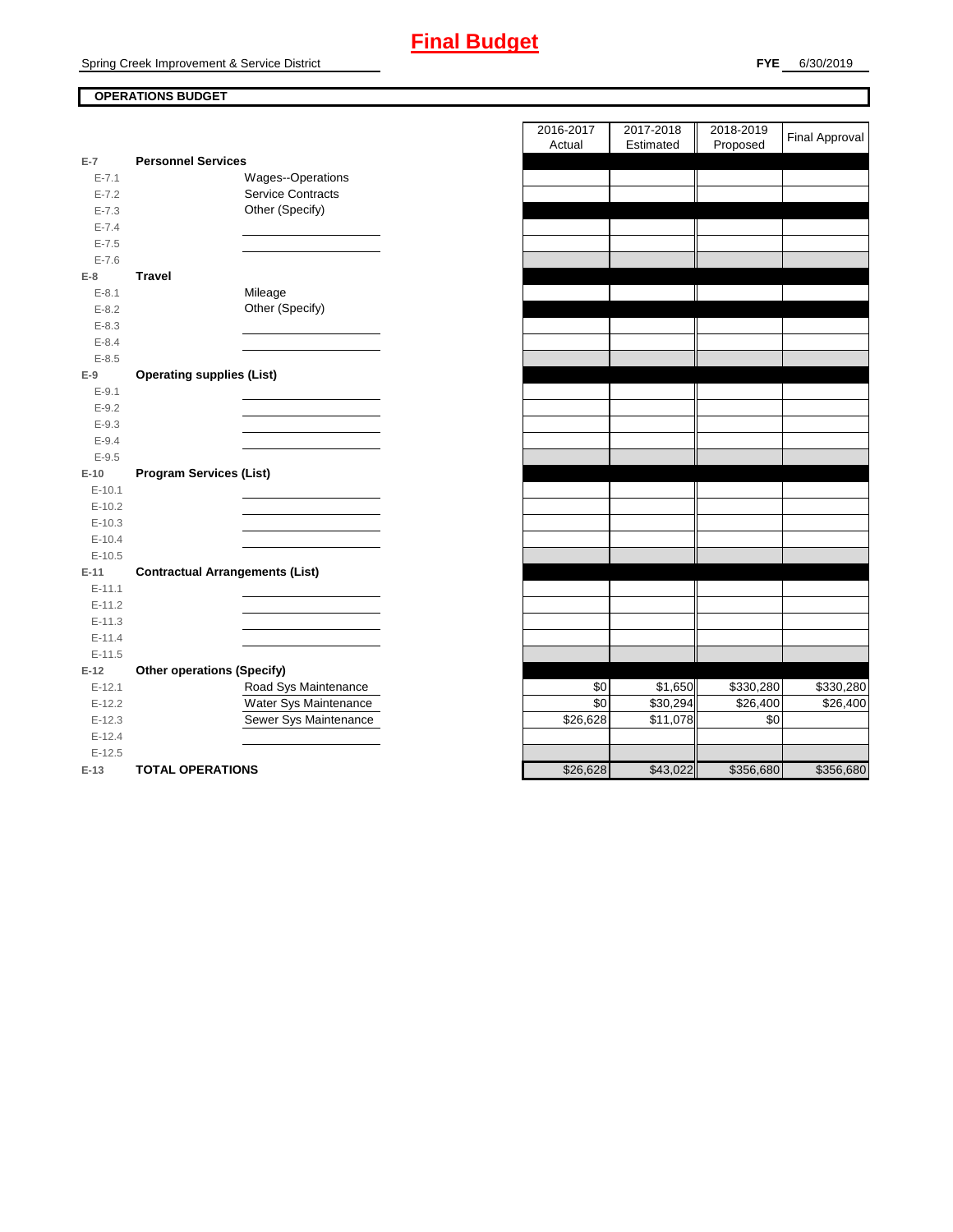Spring Creek Improvement & Service District

#### **FYE** 6/30/2019

## **OPERATIONS BUDGET**

|           |                                        |                       | 1.0.001  | <u>-</u> owna | . 790000  |
|-----------|----------------------------------------|-----------------------|----------|---------------|-----------|
|           | <b>Personnel Services</b>              |                       |          |               |           |
| $E - 7.1$ |                                        | Wages--Operations     |          |               |           |
| $E - 7.2$ |                                        | Service Contracts     |          |               |           |
| $E - 7.3$ |                                        | Other (Specify)       |          |               |           |
| $E - 7.4$ |                                        |                       |          |               |           |
| $E - 7.5$ |                                        |                       |          |               |           |
| $E - 7.6$ |                                        |                       |          |               |           |
| $E-8$     | <b>Travel</b>                          |                       |          |               |           |
| $E - 8.1$ |                                        | Mileage               |          |               |           |
| $E - 8.2$ |                                        | Other (Specify)       |          |               |           |
| $E - 8.3$ |                                        |                       |          |               |           |
| $E - 8.4$ |                                        |                       |          |               |           |
| $E - 8.5$ |                                        |                       |          |               |           |
| $E-9$     | <b>Operating supplies (List)</b>       |                       |          |               |           |
| $E - 9.1$ |                                        |                       |          |               |           |
| $E - 9.2$ |                                        |                       |          |               |           |
| $E - 9.3$ |                                        |                       |          |               |           |
| $E - 9.4$ |                                        |                       |          |               |           |
| $E - 9.5$ |                                        |                       |          |               |           |
| $E-10$    | <b>Program Services (List)</b>         |                       |          |               |           |
| $E-10.1$  |                                        |                       |          |               |           |
| $E-10.2$  |                                        |                       |          |               |           |
| $E-10.3$  |                                        |                       |          |               |           |
| $E-10.4$  |                                        |                       |          |               |           |
| $E-10.5$  |                                        |                       |          |               |           |
| $E-11$    | <b>Contractual Arrangements (List)</b> |                       |          |               |           |
| $E-11.1$  |                                        |                       |          |               |           |
| $E-11.2$  |                                        |                       |          |               |           |
| $E-11.3$  |                                        |                       |          |               |           |
| $E-11.4$  |                                        |                       |          |               |           |
| $E-11.5$  |                                        |                       |          |               |           |
| $E-12$    | <b>Other operations (Specify)</b>      |                       |          |               |           |
| $E-12.1$  |                                        | Road Sys Maintenance  | \$0      | \$1,650       | \$330,280 |
| $E-12.2$  |                                        | Water Sys Maintenance | \$0      | \$30,294      | \$26,400  |
| $E-12.3$  |                                        | Sewer Sys Maintenance | \$26,628 | \$11,078      |           |
| $E-12.4$  |                                        |                       |          |               |           |
| $E-12.5$  |                                        |                       |          |               |           |
| $E-13$    | <b>TOTAL OPERATIONS</b>                |                       | \$26,628 | \$43,022      | \$356,680 |

|                    |                                        | 2016-2017<br>Actual | 2017-2018<br>Estimated | 2018-2019<br>Proposed | <b>Final Approval</b> |
|--------------------|----------------------------------------|---------------------|------------------------|-----------------------|-----------------------|
| $\overline{7}$     | <b>Personnel Services</b>              |                     |                        |                       |                       |
| $E - 7.1$          | Wages--Operations                      |                     |                        |                       |                       |
| $E - 7.2$          | Service Contracts                      |                     |                        |                       |                       |
| $E - 7.3$          | Other (Specify)                        |                     |                        |                       |                       |
| $E - 7.4$          |                                        |                     |                        |                       |                       |
| $E - 7.5$          |                                        |                     |                        |                       |                       |
| $E - 7.6$          |                                        |                     |                        |                       |                       |
| 8                  | <b>Travel</b>                          |                     |                        |                       |                       |
| $E-8.1$            | Mileage                                |                     |                        |                       |                       |
| $E - 8.2$          | Other (Specify)                        |                     |                        |                       |                       |
| $E - 8.3$          |                                        |                     |                        |                       |                       |
| $E - 8.4$          |                                        |                     |                        |                       |                       |
| $E - 8.5$          |                                        |                     |                        |                       |                       |
| 9                  | <b>Operating supplies (List)</b>       |                     |                        |                       |                       |
| $E-9.1$            |                                        |                     |                        |                       |                       |
| $E-9.2$            |                                        |                     |                        |                       |                       |
| $E - 9.3$          |                                        |                     |                        |                       |                       |
| $E - 9.4$          |                                        |                     |                        |                       |                       |
| $E-9.5$            |                                        |                     |                        |                       |                       |
| $10^{-5}$          | <b>Program Services (List)</b>         |                     |                        |                       |                       |
| $E-10.1$           |                                        |                     |                        |                       |                       |
| $E-10.2$           |                                        |                     |                        |                       |                       |
| $E-10.3$           |                                        |                     |                        |                       |                       |
| $E-10.4$           |                                        |                     |                        |                       |                       |
| $E-10.5$           |                                        |                     |                        |                       |                       |
| $11 -$<br>$E-11.1$ | <b>Contractual Arrangements (List)</b> |                     |                        |                       |                       |
| $E-11.2$           |                                        |                     |                        |                       |                       |
| $E-11.3$           |                                        |                     |                        |                       |                       |
| $E-11.4$           |                                        |                     |                        |                       |                       |
| $E-11.5$           |                                        |                     |                        |                       |                       |
| 12                 | <b>Other operations (Specify)</b>      |                     |                        |                       |                       |
| $E-12.1$           | Road Sys Maintenance                   | \$0                 | \$1,650                | \$330,280             | \$330,280             |
| $E-12.2$           | Water Sys Maintenance                  | \$0                 | \$30,294               | \$26,400              | \$26,400              |
| $E-12.3$           | Sewer Sys Maintenance                  | \$26,628            | \$11,078               | \$0                   |                       |
| $E-12.4$           |                                        |                     |                        |                       |                       |
| $E-12.5$           |                                        |                     |                        |                       |                       |
| $-13$              | <b>TOTAL OPERATIONS</b>                | \$26.628            | \$43.022               | \$356.680             | \$356,680             |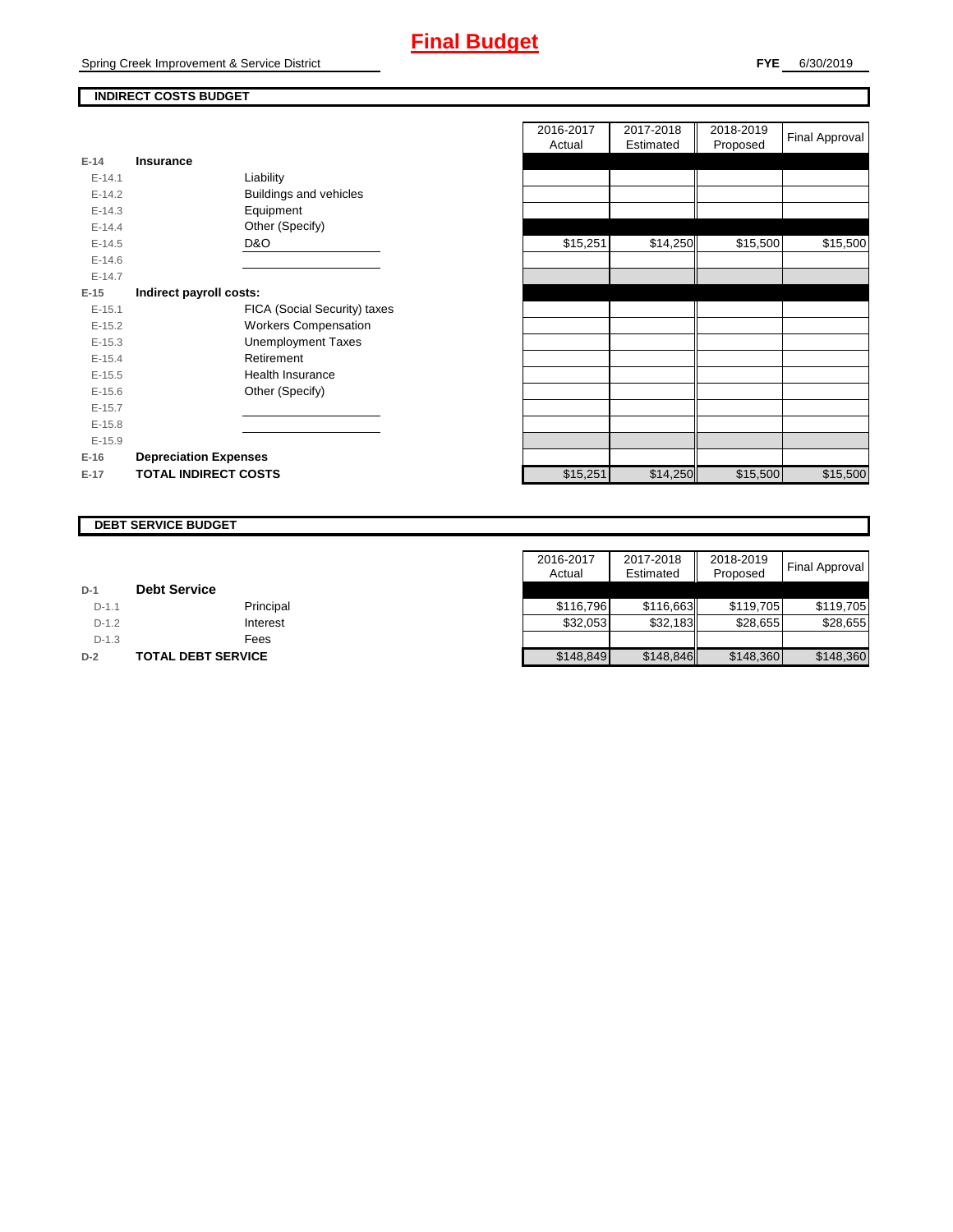Spring Creek Improvement & Service District

## **INDIRECT COSTS BUDGET**

| $E-14$     | Insurance                    |
|------------|------------------------------|
| $F-141$    | Liability                    |
| $E-14.2$   | Buildings and vehicles       |
| $F-14.3$   | Equipment                    |
| $F-144$    | Other (Specify)              |
| $E-14.5$   | D&O                          |
| $F-146$    |                              |
| $F-147$    |                              |
| E-15       | Indirect payroll costs:      |
| $F-151$    | FICA (Social Security) taxes |
| $E-15.2$   | <b>Workers Compensation</b>  |
| $E-15.3$   | <b>Unemployment Taxes</b>    |
| $E-15.4$   | Retirement                   |
| $E-15.5$   | Health Insurance             |
| $E - 15.6$ | Other (Specify)              |
| $F-157$    |                              |
| $E-15.8$   |                              |
| $E-15.9$   |                              |
| $E-16$     | <b>Depreciation Expenses</b> |
| $E-17$     | <b>TOTAL INDIRECT COSTS</b>  |

|          |                              | 2016-2017<br>Actual | 2017-2018<br>Estimated | 2018-2019<br>Proposed | Final Approval |
|----------|------------------------------|---------------------|------------------------|-----------------------|----------------|
| $E-14$   | Insurance                    |                     |                        |                       |                |
| $E-14.1$ | Liability                    |                     |                        |                       |                |
| $E-14.2$ | Buildings and vehicles       |                     |                        |                       |                |
| $E-14.3$ | Equipment                    |                     |                        |                       |                |
| $E-14.4$ | Other (Specify)              |                     |                        |                       |                |
| $E-14.5$ | D&O                          | \$15,251            | \$14,250               | \$15,500              | \$15,500       |
| $E-14.6$ |                              |                     |                        |                       |                |
| $E-14.7$ |                              |                     |                        |                       |                |
| $E-15$   | Indirect payroll costs:      |                     |                        |                       |                |
| $E-15.1$ | FICA (Social Security) taxes |                     |                        |                       |                |
| $E-15.2$ | <b>Workers Compensation</b>  |                     |                        |                       |                |
| $E-15.3$ | <b>Unemployment Taxes</b>    |                     |                        |                       |                |
| $E-15.4$ | Retirement                   |                     |                        |                       |                |
| $E-15.5$ | Health Insurance             |                     |                        |                       |                |
| $E-15.6$ | Other (Specify)              |                     |                        |                       |                |
| $E-15.7$ |                              |                     |                        |                       |                |
| $E-15.8$ |                              |                     |                        |                       |                |
| $E-15.9$ |                              |                     |                        |                       |                |
| $E-16$   | <b>Depreciation Expenses</b> |                     |                        |                       |                |
| E-17     | <b>TOTAL INDIRECT COSTS</b>  | \$15,251            | \$14,250               | \$15,500              | \$15,500       |
|          |                              |                     |                        |                       |                |

#### **DEBT SERVICE BUDGET**

|         |                           | 2016-2017 | 2017-2018 | 2018-2019 | Final Approval |
|---------|---------------------------|-----------|-----------|-----------|----------------|
|         |                           | Actual    | Estimated | Proposed  |                |
| $D-1$   | <b>Debt Service</b>       |           |           |           |                |
| $D-1.1$ | Principal                 | \$116.796 | \$116.663 | \$119.705 | \$119,705      |
| $D-1.2$ | Interest                  | \$32,053  | \$32,183  | \$28,655  | \$28,655       |
| $D-1.3$ | Fees                      |           |           |           |                |
| $D-2$   | <b>TOTAL DEBT SERVICE</b> | \$148,849 | \$148,846 | \$148,360 | \$148,360      |